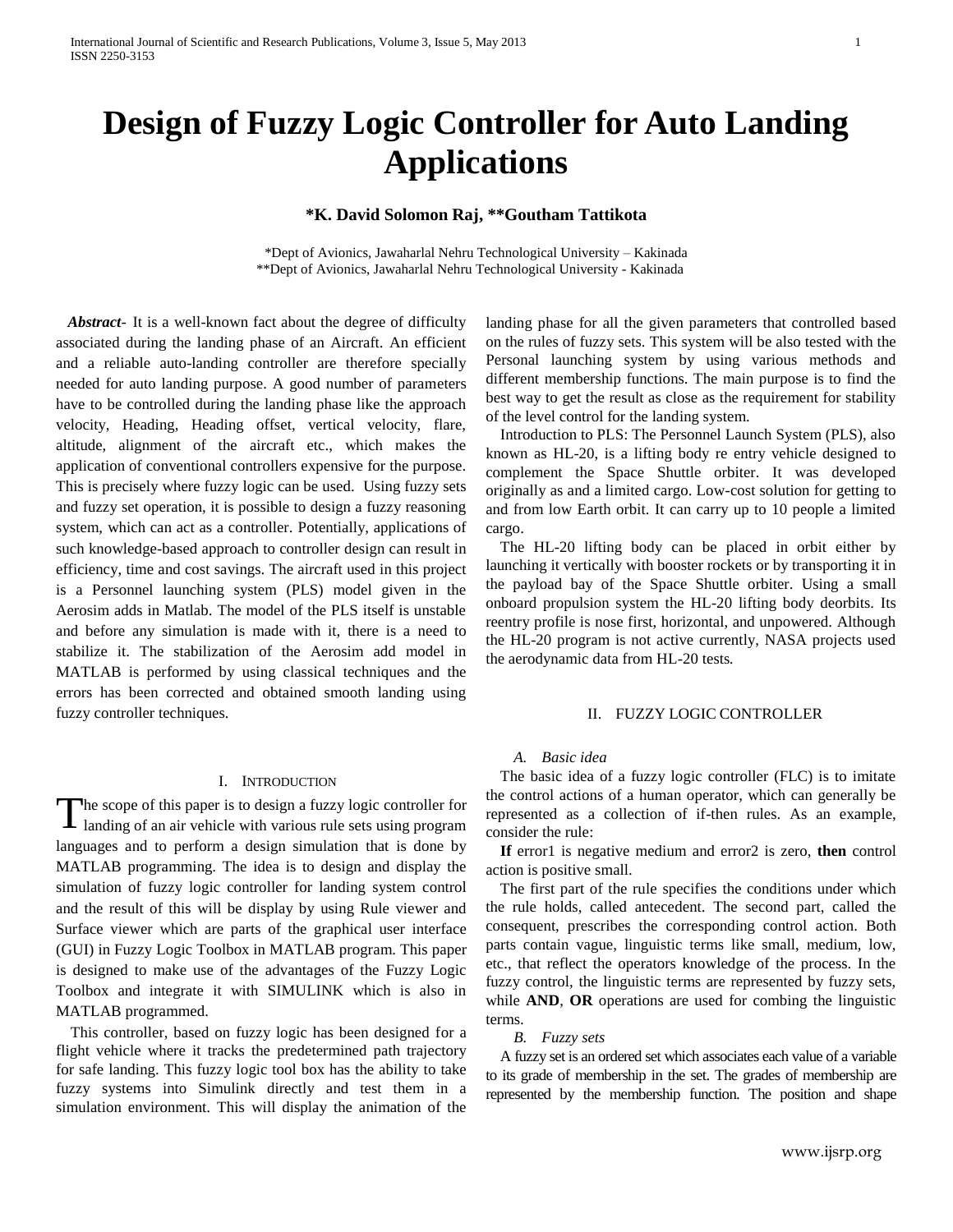# **Design of Fuzzy Logic Controller for Auto Landing Applications**

# **\*K. David Solomon Raj, \*\*Goutham Tattikota**

\*Dept of Avionics, Jawaharlal Nehru Technological University – Kakinada \*\*Dept of Avionics, Jawaharlal Nehru Technological University - Kakinada

 *Abstract-* It is a well-known fact about the degree of difficulty associated during the landing phase of an Aircraft. An efficient and a reliable auto-landing controller are therefore specially needed for auto landing purpose. A good number of parameters have to be controlled during the landing phase like the approach velocity, Heading, Heading offset, vertical velocity, flare, altitude, alignment of the aircraft etc., which makes the application of conventional controllers expensive for the purpose. This is precisely where fuzzy logic can be used. Using fuzzy sets and fuzzy set operation, it is possible to design a fuzzy reasoning system, which can act as a controller. Potentially, applications of such knowledge-based approach to controller design can result in efficiency, time and cost savings. The aircraft used in this project is a Personnel launching system (PLS) model given in the Aerosim adds in Matlab. The model of the PLS itself is unstable and before any simulation is made with it, there is a need to stabilize it. The stabilization of the Aerosim add model in MATLAB is performed by using classical techniques and the errors has been corrected and obtained smooth landing using fuzzy controller techniques.

## I. INTRODUCTION

he scope of this paper is to design a fuzzy logic controller for The scope of this paper is to design a fuzzy logic controller for landing of an air vehicle with various rule sets using program languages and to perform a design simulation that is done by MATLAB programming. The idea is to design and display the simulation of fuzzy logic controller for landing system control and the result of this will be display by using Rule viewer and Surface viewer which are parts of the graphical user interface (GUI) in Fuzzy Logic Toolbox in MATLAB program. This paper is designed to make use of the advantages of the Fuzzy Logic Toolbox and integrate it with SIMULINK which is also in MATLAB programmed.

This controller, based on fuzzy logic has been designed for a flight vehicle where it tracks the predetermined path trajectory for safe landing. This fuzzy logic tool box has the ability to take fuzzy systems into Simulink directly and test them in a simulation environment. This will display the animation of the landing phase for all the given parameters that controlled based on the rules of fuzzy sets. This system will be also tested with the Personal launching system by using various methods and different membership functions. The main purpose is to find the best way to get the result as close as the requirement for stability of the level control for the landing system.

Introduction to PLS: The Personnel Launch System (PLS), also known as HL-20, is a lifting body re entry vehicle designed to complement the Space Shuttle orbiter. It was developed originally as and a limited cargo. Low-cost solution for getting to and from low Earth orbit. It can carry up to 10 people a limited cargo.

The HL-20 lifting body can be placed in orbit either by launching it vertically with booster rockets or by transporting it in the payload bay of the Space Shuttle orbiter. Using a small onboard propulsion system the HL-20 lifting body deorbits. Its reentry profile is nose first, horizontal, and unpowered. Although the HL-20 program is not active currently, NASA projects used the aerodynamic data from HL-20 tests*.*

#### II. FUZZY LOGIC CONTROLLER

## *A. Basic idea*

The basic idea of a fuzzy logic controller (FLC) is to imitate the control actions of a human operator, which can generally be represented as a collection of if-then rules. As an example, consider the rule:

**If** error1 is negative medium and error2 is zero, **then** control action is positive small.

The first part of the rule specifies the conditions under which the rule holds, called antecedent. The second part, called the consequent, prescribes the corresponding control action. Both parts contain vague, linguistic terms like small, medium, low, etc., that reflect the operators knowledge of the process. In the fuzzy control, the linguistic terms are represented by fuzzy sets, while **AND**, **OR** operations are used for combing the linguistic terms.

#### *B. Fuzzy sets*

A fuzzy set is an ordered set which associates each value of a variable to its grade of membership in the set. The grades of membership are represented by the membership function. The position and shape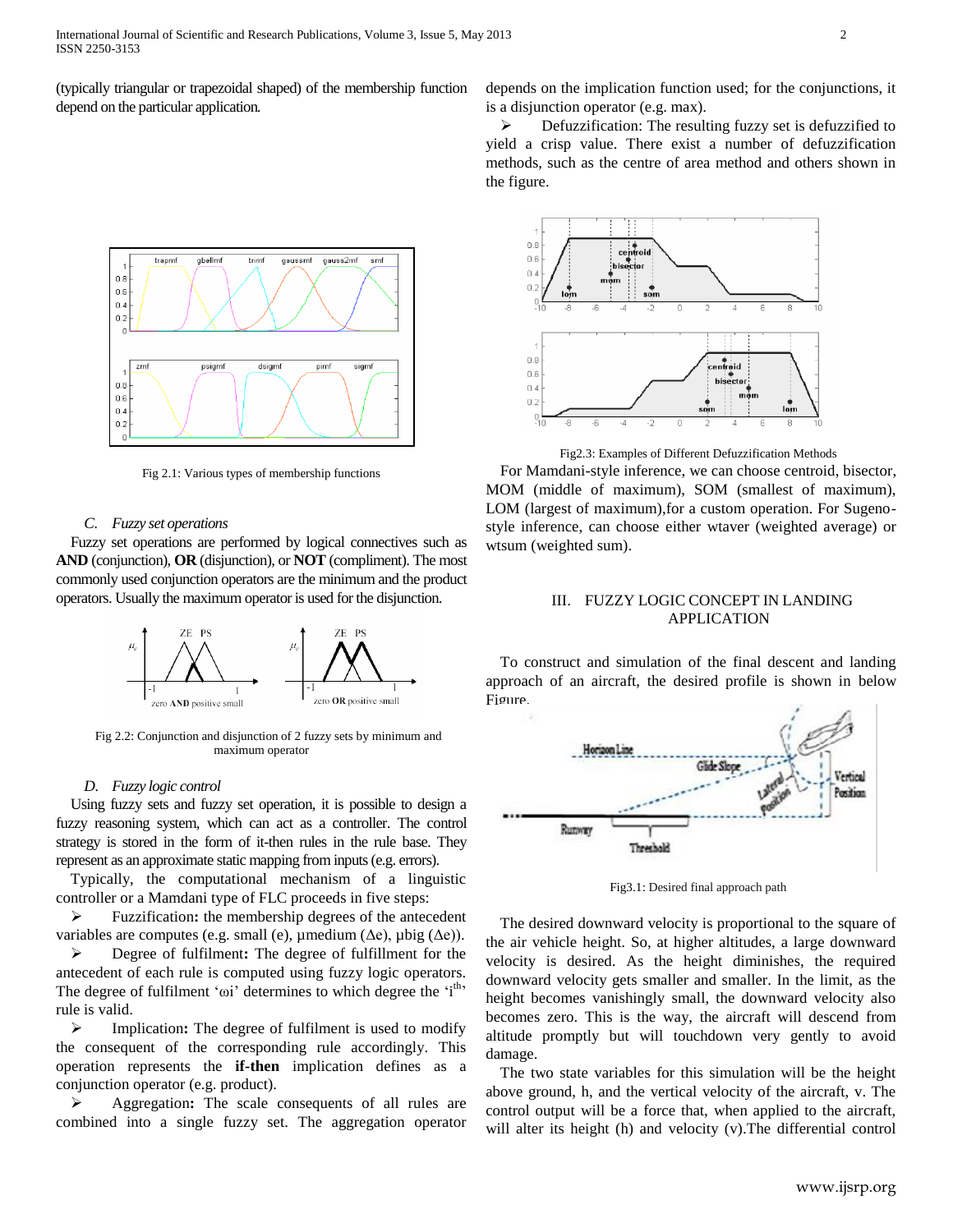(typically triangular or trapezoidal shaped) of the membership function depend on the particular application*.*



Fig 2.1: Various types of membership functions

### *C. Fuzzy set operations*

Fuzzy set operations are performed by logical connectives such as **AND** (conjunction), **OR** (disjunction), or **NOT** (compliment). The most commonly used conjunction operators are the minimum and the product operators. Usually the maximum operator is used for the disjunction.



Fig 2.2: Conjunction and disjunction of 2 fuzzy sets by minimum and maximum operator

#### *D. Fuzzy logic control*

Using fuzzy sets and fuzzy set operation, it is possible to design a fuzzy reasoning system, which can act as a controller. The control strategy is stored in the form of it-then rules in the rule base. They represent as an approximate static mapping from inputs (e.g. errors).

Typically, the computational mechanism of a linguistic controller or a Mamdani type of FLC proceeds in five steps:

 Fuzzification**:** the membership degrees of the antecedent variables are computes (e.g. small (e),  $\mu$ medium ( $\Delta e$ ),  $\mu$ big ( $\Delta e$ )).

 Degree of fulfilment**:** The degree of fulfillment for the antecedent of each rule is computed using fuzzy logic operators. The degree of fulfilment ' $\omega$ i' determines to which degree the 'i<sup>th</sup>' rule is valid.

> Implication: The degree of fulfilment is used to modify the consequent of the corresponding rule accordingly. This operation represents the **if-then** implication defines as a conjunction operator (e.g. product).

 Aggregation**:** The scale consequents of all rules are combined into a single fuzzy set. The aggregation operator depends on the implication function used; for the conjunctions, it is a disjunction operator (e.g. max).

 $\triangleright$  Defuzzification: The resulting fuzzy set is defuzzified to yield a crisp value. There exist a number of defuzzification methods, such as the centre of area method and others shown in the figure.



Fig2.3: Examples of Different Defuzzification Methods

For Mamdani-style inference, we can choose centroid, bisector, MOM (middle of maximum), SOM (smallest of maximum), LOM (largest of maximum),for a custom operation. For Sugenostyle inference, can choose either wtaver (weighted average) or wtsum (weighted sum).

## III. FUZZY LOGIC CONCEPT IN LANDING APPLICATION

To construct and simulation of the final descent and landing approach of an aircraft, the desired profile is shown in below Figure.



Fig3.1: Desired final approach path

The desired downward velocity is proportional to the square of the air vehicle height. So, at higher altitudes, a large downward velocity is desired. As the height diminishes, the required downward velocity gets smaller and smaller. In the limit, as the height becomes vanishingly small, the downward velocity also becomes zero. This is the way, the aircraft will descend from altitude promptly but will touchdown very gently to avoid damage.

The two state variables for this simulation will be the height above ground, h, and the vertical velocity of the aircraft, v. The control output will be a force that, when applied to the aircraft, will alter its height (h) and velocity (v).The differential control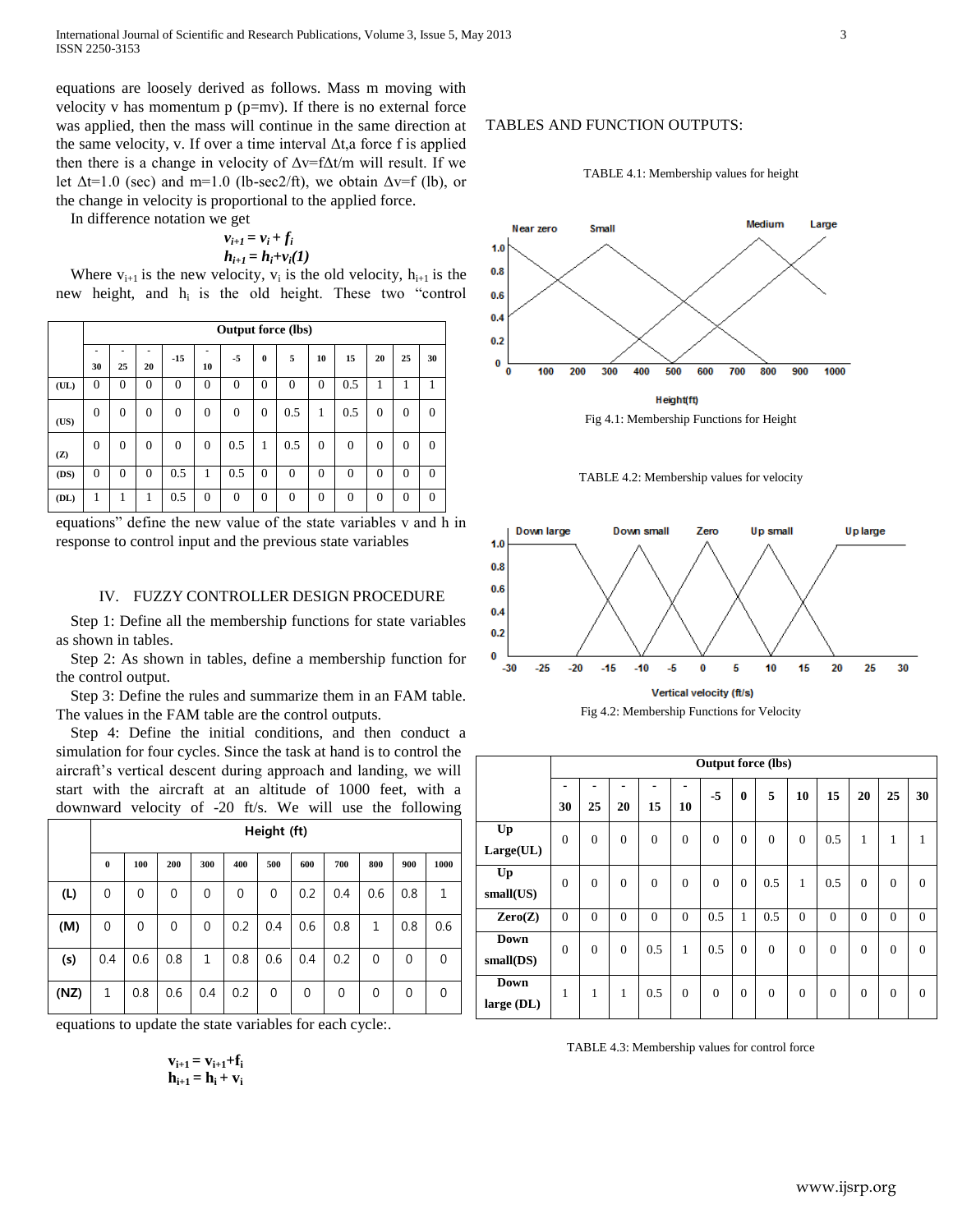International Journal of Scientific and Research Publications, Volume 3, Issue 5, May 2013 3 ISSN 2250-3153

equations are loosely derived as follows. Mass m moving with velocity v has momentum  $p$  ( $p=mv$ ). If there is no external force was applied, then the mass will continue in the same direction at the same velocity, v. If over a time interval  $\Delta t$ , a force f is applied then there is a change in velocity of  $\Delta v = f \Delta t/m$  will result. If we let  $\Delta t = 1.0$  (sec) and m=1.0 (lb-sec2/ft), we obtain  $\Delta v = f$  (lb), or the change in velocity is proportional to the applied force.

In difference notation we get

$$
v_{i+1} = v_i + f_i
$$
  

$$
h_{i+1} = h_i + v_i(I)
$$

Where  $v_{i+1}$  is the new velocity,  $v_i$  is the old velocity,  $h_{i+1}$  is the new height, and hi is the old height. These two "control

|      | <b>Output force (lbs)</b> |          |          |          |          |          |          |          |          |          |          |          |          |
|------|---------------------------|----------|----------|----------|----------|----------|----------|----------|----------|----------|----------|----------|----------|
|      | 30                        | 25       | 20       | $-15$    | ۰<br>10  | -5       | $\bf{0}$ | 5        | 10       | 15       | 20       | 25       | 30       |
| (UL) | $\theta$                  | $\Omega$ | $\theta$ | $\Omega$ | $\theta$ | $\Omega$ | $\theta$ | $\Omega$ | $\theta$ | 0.5      |          |          |          |
| (US) | $\theta$                  | $\Omega$ | $\theta$ | $\Omega$ | $\Omega$ | $\Omega$ | $\theta$ | 0.5      | 1        | 0.5      | $\theta$ | $\Omega$ | $\Omega$ |
| (Z)  | $\theta$                  | $\theta$ | $\theta$ | $\Omega$ | $\Omega$ | 0.5      | 1        | 0.5      | $\Omega$ | $\theta$ | $\Omega$ | $\theta$ | $\Omega$ |
| (DS) | $\theta$                  | $\Omega$ | $\Omega$ | 0.5      | 1        | 0.5      | $\theta$ | $\Omega$ | $\Omega$ | $\Omega$ | $\theta$ | $\Omega$ | $\Omega$ |
| (DL) | 1                         |          |          | 0.5      | $\Omega$ | $\Omega$ | $\theta$ | $\Omega$ | $\theta$ | $\theta$ | $\theta$ | $\Omega$ | $\Omega$ |

equations" define the new value of the state variables v and h in response to control input and the previous state variables

## IV. FUZZY CONTROLLER DESIGN PROCEDURE

Step 1: Define all the membership functions for state variables as shown in tables.

Step 2: As shown in tables, define a membership function for the control output.

Step 3: Define the rules and summarize them in an FAM table. The values in the FAM table are the control outputs.

Step 4: Define the initial conditions, and then conduct a simulation for four cycles. Since the task at hand is to control the aircraft's vertical descent during approach and landing, we will start with the aircraft at an altitude of 1000 feet, with a downward velocity of -20 ft/s. We will use the following

|      | Height (ft) |          |     |              |     |     |     |     |             |     |      |
|------|-------------|----------|-----|--------------|-----|-----|-----|-----|-------------|-----|------|
|      | $\bf{0}$    | 100      | 200 | 300          | 400 | 500 | 600 | 700 | 800         | 900 | 1000 |
| (L)  | 0           | 0        | 0   | 0            | 0   | 0   | 0.2 | 0.4 | 0.6         | 0.8 | 1    |
| (M)  | 0           | $\Omega$ | 0   | 0            | 0.2 | 0.4 | 0.6 | 0.8 | 1           | 0.8 | 0.6  |
| (s)  | 0.4         | 0.6      | 0.8 | $\mathbf{1}$ | 0.8 | 0.6 | 0.4 | 0.2 | $\mathbf 0$ | 0   | 0    |
| (NZ) | 1           | 0.8      | 0.6 | 0.4          | 0.2 | 0   | 0   | 0   | 0           | 0   | 0    |

equations to update the state variables for each cycle:.

$$
\begin{array}{c} v_{i+1}=v_{i+1}\text{+}f_i\\ h_{i+1}=h_i+v_i \end{array}
$$

## TABLES AND FUNCTION OUTPUTS:











|                             | <b>Output force (lbs)</b> |          |                |          |              |          |                |              |          |                |              |                |              |
|-----------------------------|---------------------------|----------|----------------|----------|--------------|----------|----------------|--------------|----------|----------------|--------------|----------------|--------------|
|                             | 30                        | 25       | 20             | 15       | 10           | $-5$     | 0              | 5            | 10       | 15             | 20           | 25             | 30           |
| Up<br>Large(UL)             | $\overline{0}$            | $\theta$ | $\Omega$       | $\Omega$ | $\Omega$     | $\Omega$ | $\theta$       | $\mathbf{0}$ | $\Omega$ | 0.5            | $\mathbf{1}$ | 1              | 1            |
| Up<br>small(US)             | $\theta$                  | $\theta$ | $\Omega$       | $\Omega$ | $\Omega$     | $\Omega$ | $\Omega$       | 0.5          | 1        | 0.5            | $\Omega$     | $\Omega$       | $\mathbf{0}$ |
| Zero(Z)                     | $\overline{0}$            | $\theta$ | $\theta$       | $\theta$ | $\theta$     | 0.5      | 1              | 0.5          | $\theta$ | $\overline{0}$ | $\theta$     | $\overline{0}$ | $\Omega$     |
| <b>Down</b><br>$small$ (DS) | $\overline{0}$            | $\Omega$ | $\overline{0}$ | 0.5      | $\mathbf{1}$ | 0.5      | $\theta$       | $\mathbf{0}$ | $\theta$ | $\overline{0}$ | $\theta$     | $\Omega$       | $\Omega$     |
| <b>Down</b><br>large (DL)   | $\mathbf{1}$              | 1        | 1              | 0.5      | $\mathbf{0}$ | $\Omega$ | $\overline{0}$ | $\mathbf{0}$ | $\Omega$ | $\overline{0}$ | $\theta$     | $\mathbf{0}$   | $\Omega$     |

TABLE 4.3: Membership values for control force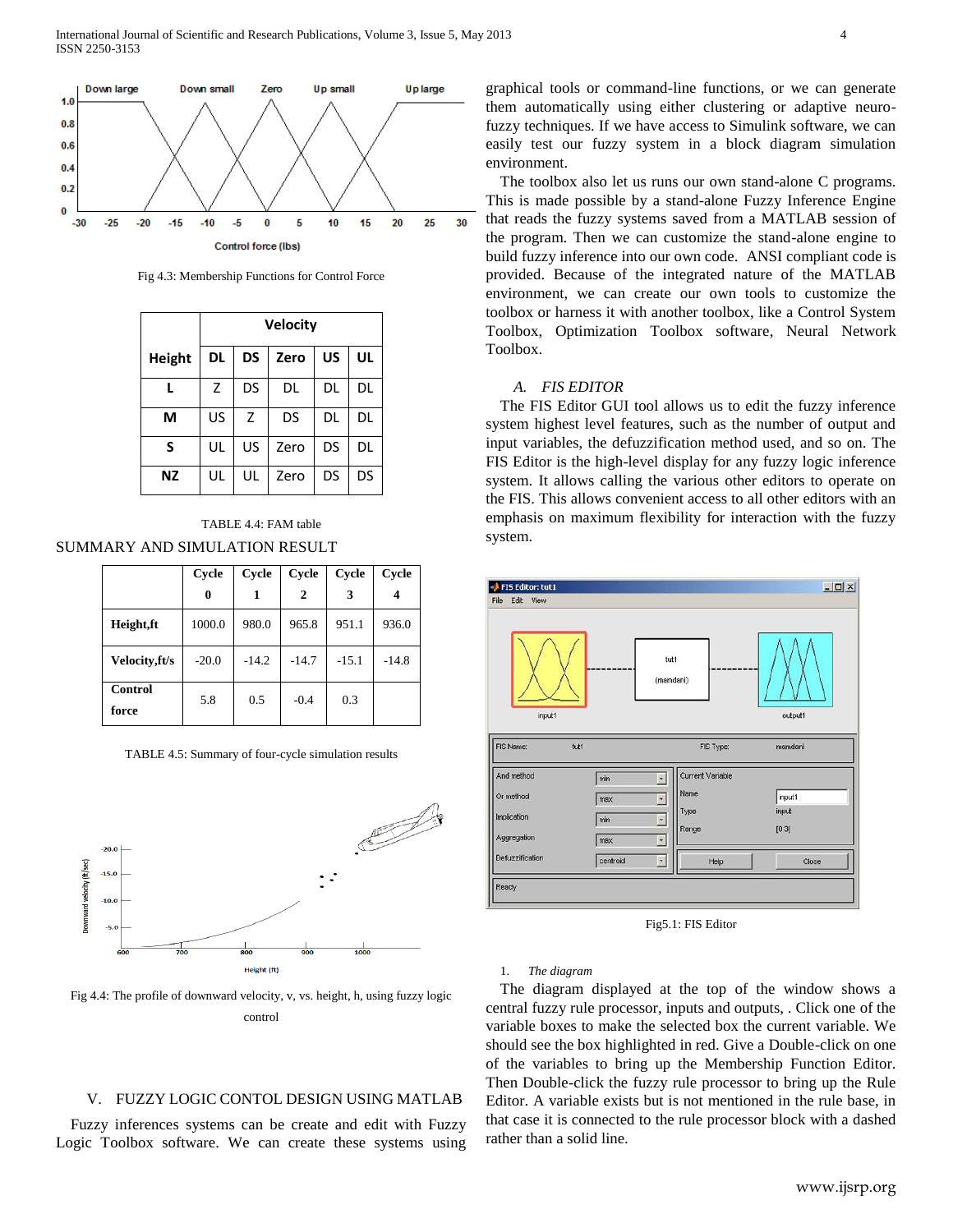International Journal of Scientific and Research Publications, Volume 3, Issue 5, May 2013 4 ISSN 2250-3153



Fig 4.3: Membership Functions for Control Force

|        | Velocity |           |      |           |    |  |  |  |  |  |
|--------|----------|-----------|------|-----------|----|--|--|--|--|--|
| Height | DL       | <b>DS</b> | Zero | <b>US</b> | UL |  |  |  |  |  |
|        | Z        | DS        | DL   | DL        | DL |  |  |  |  |  |
| М      | US       | Z         | DS   | DL        | DL |  |  |  |  |  |
| S      | UL       | US        | Zero | DS        | DL |  |  |  |  |  |
| ΝZ     | UL       | UL        | Zero | DS        | DS |  |  |  |  |  |



|                  | Cycle   | <b>Cycle</b> | Cycle        | Cycle   | Cycle   |
|------------------|---------|--------------|--------------|---------|---------|
|                  | 0       |              | $\mathbf{2}$ | 3       | 4       |
| Height,ft        | 1000.0  | 980.0        | 965.8        | 951.1   | 936.0   |
| Velocity, ft/s   | $-20.0$ | $-14.2$      | $-14.7$      | $-15.1$ | $-14.8$ |
| Control<br>force | 5.8     | 0.5          | $-0.4$       | 0.3     |         |

TABLE 4.5: Summary of four-cycle simulation results



Fig 4.4: The profile of downward velocity, v, vs. height, h, using fuzzy logic control

## V. FUZZY LOGIC CONTOL DESIGN USING MATLAB

Fuzzy inferences systems can be create and edit with Fuzzy Logic Toolbox software. We can create these systems using

graphical tools or command-line functions, or we can generate them automatically using either clustering or adaptive neurofuzzy techniques. If we have access to Simulink software, we can easily test our fuzzy system in a block diagram simulation environment.

The toolbox also let us runs our own stand-alone C programs. This is made possible by a stand-alone Fuzzy Inference Engine that reads the fuzzy systems saved from a MATLAB session of the program. Then we can customize the stand-alone engine to build fuzzy inference into our own code. ANSI compliant code is provided. Because of the integrated nature of the MATLAB environment, we can create our own tools to customize the toolbox or harness it with another toolbox, like a Control System Toolbox, Optimization Toolbox software, Neural Network Toolbox.

## *A. FIS EDITOR*

The FIS Editor GUI tool allows us to edit the fuzzy inference system highest level features, such as the number of output and input variables, the defuzzification method used, and so on. The FIS Editor is the high-level display for any fuzzy logic inference system. It allows calling the various other editors to operate on the FIS. This allows convenient access to all other editors with an emphasis on maximum flexibility for interaction with the fuzzy system.



Fig5.1: FIS Editor

#### 1. *The diagram*

The diagram displayed at the top of the window shows a central fuzzy rule processor, inputs and outputs, . Click one of the variable boxes to make the selected box the current variable. We should see the box highlighted in red. Give a Double-click on one of the variables to bring up the Membership Function Editor. Then Double-click the fuzzy rule processor to bring up the Rule Editor. A variable exists but is not mentioned in the rule base, in that case it is connected to the rule processor block with a dashed rather than a solid line.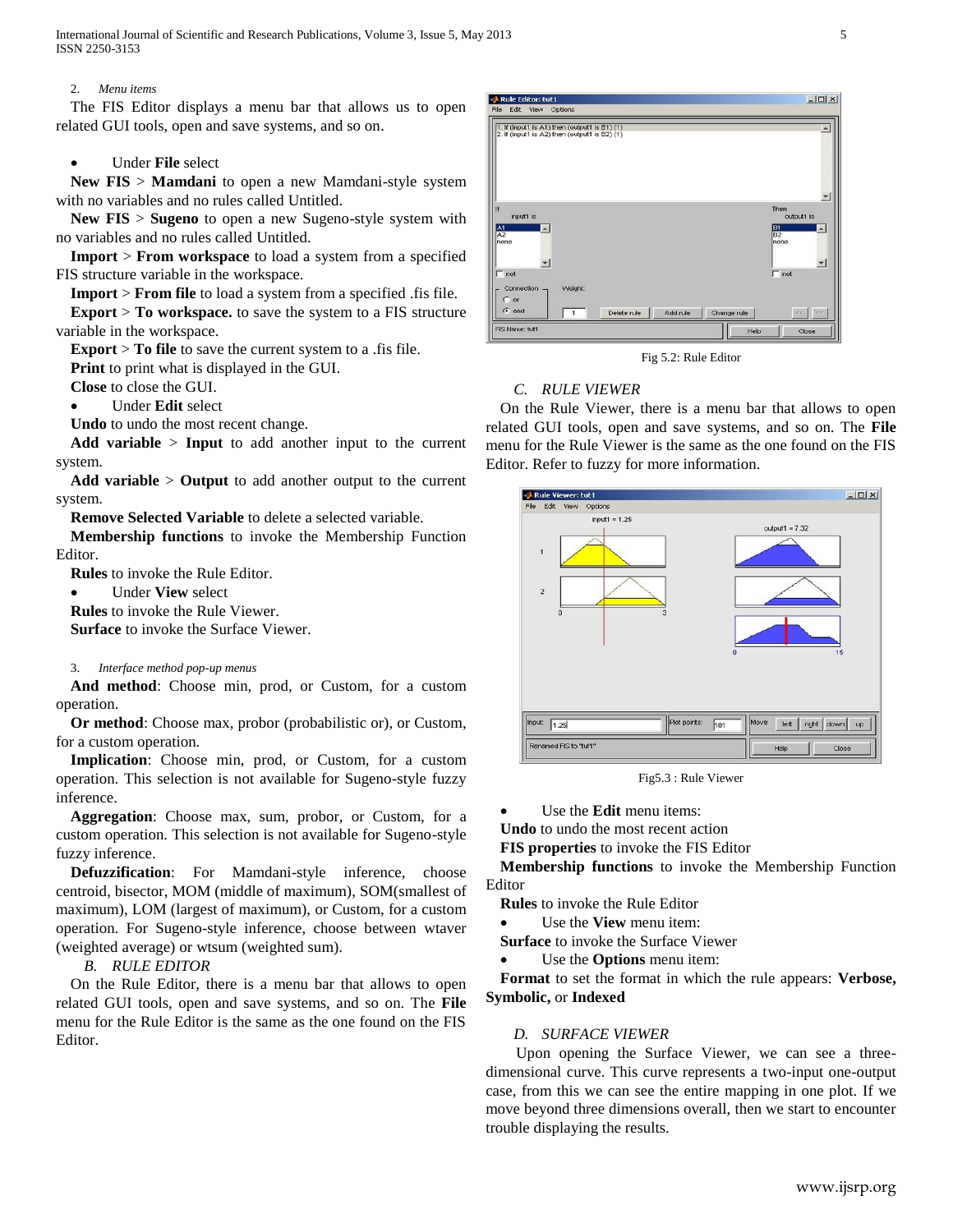#### 2. *Menu items*

The FIS Editor displays a menu bar that allows us to open related GUI tools, open and save systems, and so on.

## Under **File** select

**New FIS** > **Mamdani** to open a new Mamdani-style system with no variables and no rules called Untitled.

**New FIS** > **Sugeno** to open a new Sugeno-style system with no variables and no rules called Untitled.

**Import** > **From workspace** to load a system from a specified FIS structure variable in the workspace.

**Import** > **From file** to load a system from a specified .fis file.

**Export** > **To workspace.** to save the system to a FIS structure variable in the workspace.

**Export** > **To file** to save the current system to a .fis file.

**Print** to print what is displayed in the GUI.

**Close** to close the GUI.

Under **Edit** select

**Undo** to undo the most recent change.

**Add variable** > **Input** to add another input to the current system.

**Add variable** > **Output** to add another output to the current system.

**Remove Selected Variable** to delete a selected variable.

**Membership functions** to invoke the Membership Function Editor.

**Rules** to invoke the Rule Editor.

Under **View** select

**Rules** to invoke the Rule Viewer.

**Surface** to invoke the Surface Viewer.

## 3. *Interface method pop-up menus*

**And method**: Choose min, prod, or Custom, for a custom operation.

**Or method**: Choose max, probor (probabilistic or), or Custom, for a custom operation.

**Implication**: Choose min, prod, or Custom, for a custom operation. This selection is not available for Sugeno-style fuzzy inference.

**Aggregation**: Choose max, sum, probor, or Custom, for a custom operation. This selection is not available for Sugeno-style fuzzy inference.

**Defuzzification**: For Mamdani-style inference, choose centroid, bisector, MOM (middle of maximum), SOM(smallest of maximum), LOM (largest of maximum), or Custom, for a custom operation. For Sugeno-style inference, choose between wtaver (weighted average) or wtsum (weighted sum).

*B. RULE EDITOR*

On the Rule Editor, there is a menu bar that allows to open related GUI tools, open and save systems, and so on. The **File** menu for the Rule Editor is the same as the one found on the FIS Editor.



Fig 5.2: Rule Editor

# *C. RULE VIEWER*

On the Rule Viewer, there is a menu bar that allows to open related GUI tools, open and save systems, and so on. The **File** menu for the Rule Viewer is the same as the one found on the FIS Editor. Refer to [fuzzy](jar:file:///C:/Program%20Files%20%28x86%29/MATLAB/R2008b/help/toolbox/fuzzy/help.jar%21/fuzzy.html) for more information.



Fig5.3 : Rule Viewer

Use the **Edit** menu items:

**Undo** to undo the most recent action

**FIS properties** to invoke the FIS Editor

**Membership functions** to invoke the Membership Function Editor

**Rules** to invoke the Rule Editor

Use the **View** menu item:

**Surface** to invoke the Surface Viewer

Use the **Options** menu item:

**Format** to set the format in which the rule appears: **Verbose, Symbolic,** or **Indexed**

## *D. SURFACE VIEWER*

 Upon opening the Surface Viewer, we can see a threedimensional curve. This curve represents a two-input one-output case, from this we can see the entire mapping in one plot. If we move beyond three dimensions overall, then we start to encounter trouble displaying the results.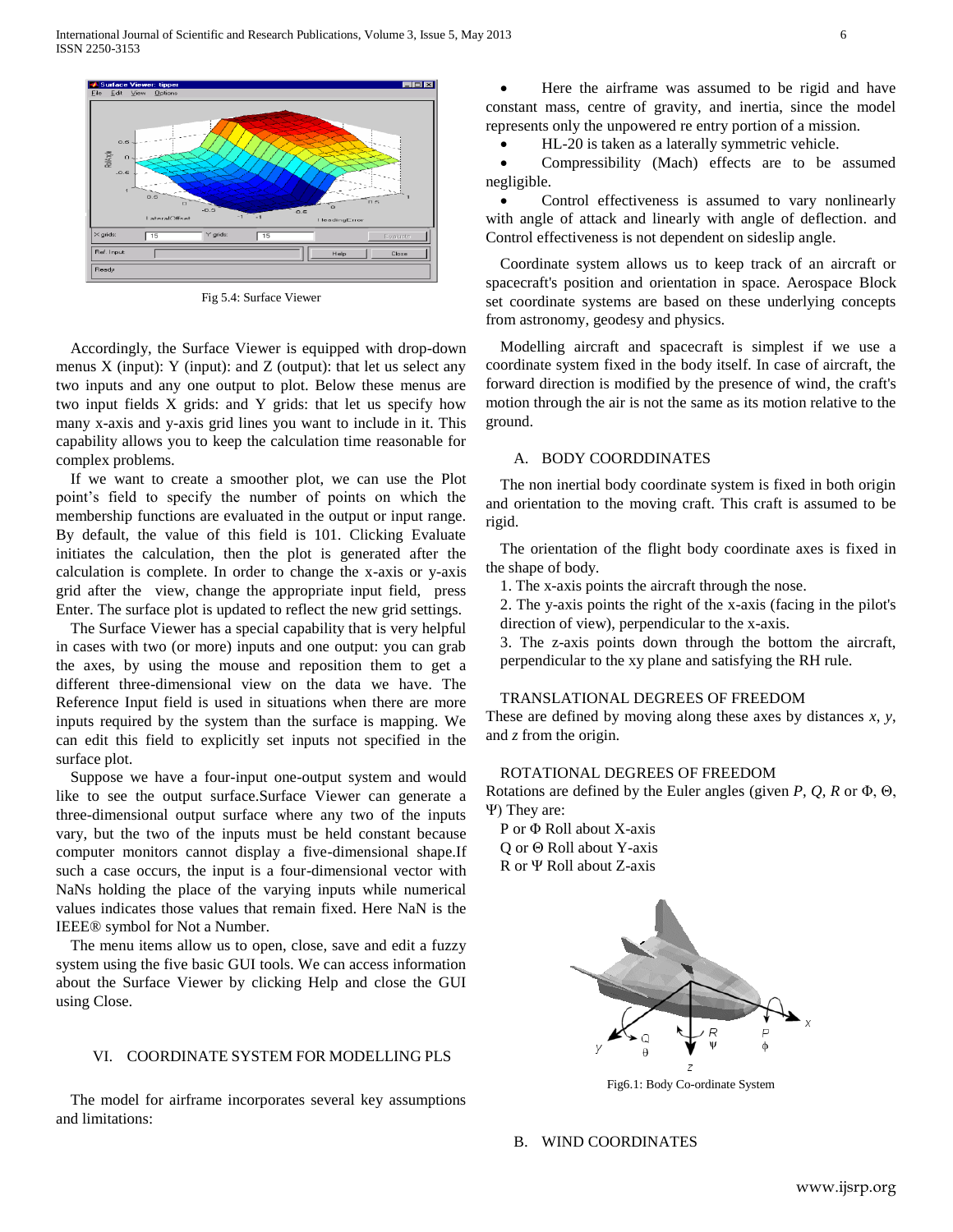

Fig 5.4: Surface Viewer

Accordingly, the Surface Viewer is equipped with drop-down menus  $X$  (input):  $Y$  (input): and  $Z$  (output): that let us select any two inputs and any one output to plot. Below these menus are two input fields X grids: and Y grids: that let us specify how many x-axis and y-axis grid lines you want to include in it. This capability allows you to keep the calculation time reasonable for complex problems.

If we want to create a smoother plot, we can use the Plot point's field to specify the number of points on which the membership functions are evaluated in the output or input range. By default, the value of this field is 101. Clicking Evaluate initiates the calculation, then the plot is generated after the calculation is complete. In order to change the x-axis or y-axis grid after the view, change the appropriate input field, press Enter. The surface plot is updated to reflect the new grid settings.

The Surface Viewer has a special capability that is very helpful in cases with two (or more) inputs and one output: you can grab the axes, by using the mouse and reposition them to get a different three-dimensional view on the data we have. The Reference Input field is used in situations when there are more inputs required by the system than the surface is mapping. We can edit this field to explicitly set inputs not specified in the surface plot.

Suppose we have a four-input one-output system and would like to see the output surface.Surface Viewer can generate a three-dimensional output surface where any two of the inputs vary, but the two of the inputs must be held constant because computer monitors cannot display a five-dimensional shape.If such a case occurs, the input is a four-dimensional vector with NaNs holding the place of the varying inputs while numerical values indicates those values that remain fixed. Here NaN is the IEEE® symbol for Not a Number.

The menu items allow us to open, close, save and edit a fuzzy system using the five basic GUI tools. We can access information about the Surface Viewer by clicking Help and close the GUI using Close.

#### VI. COORDINATE SYSTEM FOR MODELLING PLS

The model for airframe incorporates several key assumptions and limitations:

 Here the airframe was assumed to be rigid and have constant mass, centre of gravity, and inertia, since the model represents only the unpowered re entry portion of a mission.

HL-20 is taken as a laterally symmetric vehicle.

 Compressibility (Mach) effects are to be assumed negligible.

• Control effectiveness is assumed to vary nonlinearly with angle of attack and linearly with angle of deflection. and Control effectiveness is not dependent on sideslip angle.

Coordinate system allows us to keep track of an aircraft or spacecraft's position and orientation in space. Aerospace Block set coordinate systems are based on these underlying concepts from astronomy, geodesy and physics.

Modelling aircraft and spacecraft is simplest if we use a coordinate system fixed in the body itself. In case of aircraft, the forward direction is modified by the presence of wind, the craft's motion through the air is not the same as its motion relative to the ground.

#### A. BODY COORDDINATES

The non inertial body coordinate system is fixed in both origin and orientation to the moving craft. This craft is assumed to be rigid.

The orientation of the flight body coordinate axes is fixed in the shape of body.

1. The x-axis points the aircraft through the nose.

2. The y-axis points the right of the x-axis (facing in the pilot's direction of view), perpendicular to the x-axis.

3. The z-axis points down through the bottom the aircraft, perpendicular to the xy plane and satisfying the RH rule.

## TRANSLATIONAL DEGREES OF FREEDOM

These are defined by moving along these axes by distances *x*, *y*, and *z* from the origin.

## ROTATIONAL DEGREES OF FREEDOM

Rotations are defined by the Euler angles (given *P*, *Q*, *R* or Φ, Θ, Ψ) They are:

P or Φ Roll about X-axis Q or Θ Roll about Y-axis R or Ψ Roll about Z-axis



Fig6.1: Body Co-ordinate System

#### B. WIND COORDINATES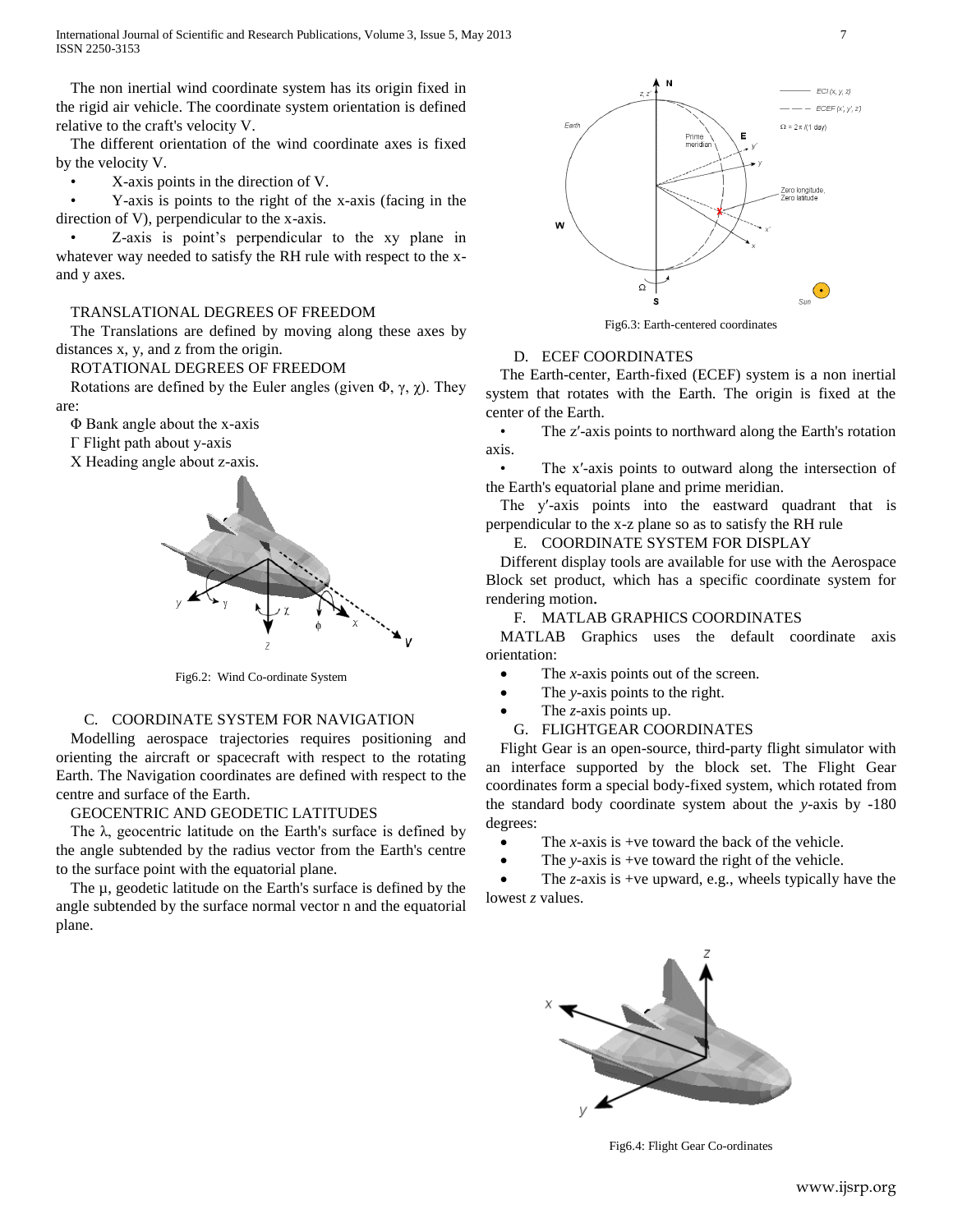International Journal of Scientific and Research Publications, Volume 3, Issue 5, May 2013 7 ISSN 2250-3153

The non inertial wind coordinate system has its origin fixed in the rigid air vehicle. The coordinate system orientation is defined relative to the craft's velocity V.

The different orientation of the wind coordinate axes is fixed by the velocity V.

• X-axis points in the direction of V.

• Y-axis is points to the right of the x-axis (facing in the direction of V), perpendicular to the x-axis.

• Z-axis is point's perpendicular to the xy plane in whatever way needed to satisfy the RH rule with respect to the xand y axes.

#### TRANSLATIONAL DEGREES OF FREEDOM

The Translations are defined by moving along these axes by distances x, y, and z from the origin.

# ROTATIONAL DEGREES OF FREEDOM

Rotations are defined by the Euler angles (given  $\Phi$ ,  $\gamma$ ,  $\gamma$ ). They are:

Φ Bank angle about the x-axis

Γ Flight path about y-axis

Χ Heading angle about z-axis.



Fig6.2: Wind Co-ordinate System

## C. COORDINATE SYSTEM FOR NAVIGATION

Modelling aerospace trajectories requires positioning and orienting the aircraft or spacecraft with respect to the rotating Earth. The Navigation coordinates are defined with respect to the centre and surface of the Earth.

## GEOCENTRIC AND GEODETIC LATITUDES

The λ, geocentric latitude on the Earth's surface is defined by the angle subtended by the radius vector from the Earth's centre to the surface point with the equatorial plane.

The  $\mu$ , geodetic latitude on the Earth's surface is defined by the angle subtended by the surface normal vector n and the equatorial plane.



Fig6.3: Earth-centered coordinates

## D. ECEF COORDINATES

The Earth-center, Earth-fixed (ECEF) system is a non inertial system that rotates with the Earth. The origin is fixed at the center of the Earth.

• The z'-axis points to northward along the Earth's rotation axis.

• The x'-axis points to outward along the intersection of the Earth's equatorial plane and prime meridian.

The y′-axis points into the eastward quadrant that is perpendicular to the x-z plane so as to satisfy the RH rule

## E. COORDINATE SYSTEM FOR DISPLAY

Different display tools are available for use with the Aerospace Block set product, which has a specific coordinate system for rendering motion.

## F. MATLAB GRAPHICS COORDINATES

MATLAB Graphics uses the default coordinate axis orientation:

- The *x*-axis points out of the screen.
- The *y*-axis points to the right.
- The *z*-axis points up.

#### G. FLIGHTGEAR COORDINATES

Flight Gear is an open-source, third-party flight simulator with an interface supported by the block set. The Flight Gear coordinates form a special body-fixed system, which rotated from the standard body coordinate system about the *y*-axis by -180 degrees:

- The *x*-axis is +ve toward the back of the vehicle.
- The *y*-axis is +ve toward the right of the vehicle.

 The *z*-axis is +ve upward, e.g., wheels typically have the lowest *z* values.



Fig6.4: Flight Gear Co-ordinates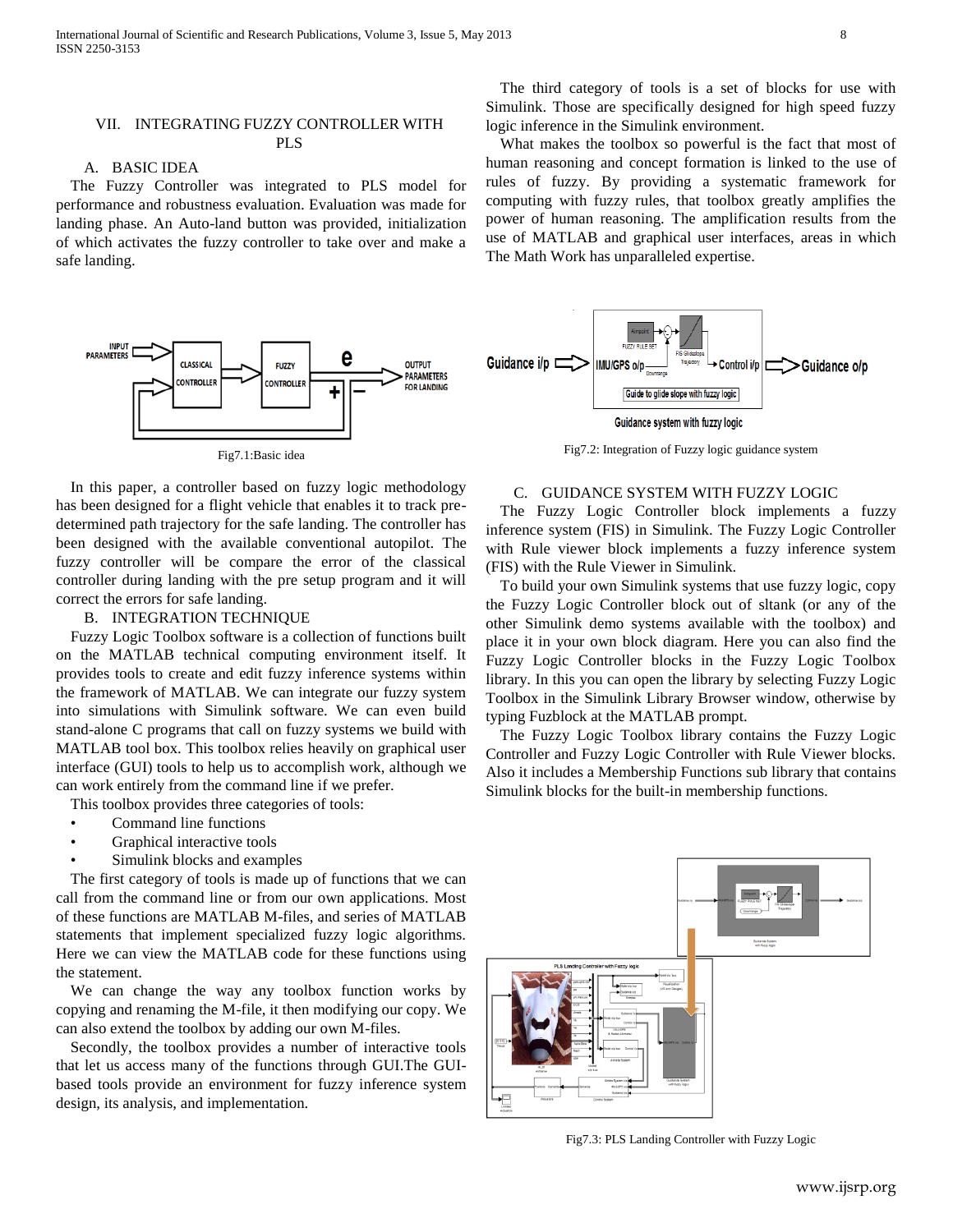## A. BASIC IDEA

The Fuzzy Controller was integrated to PLS model for performance and robustness evaluation. Evaluation was made for landing phase. An Auto-land button was provided, initialization of which activates the fuzzy controller to take over and make a safe landing.



Fig7.1:Basic idea

In this paper, a controller based on fuzzy logic methodology has been designed for a flight vehicle that enables it to track predetermined path trajectory for the safe landing. The controller has been designed with the available conventional autopilot. The fuzzy controller will be compare the error of the classical controller during landing with the pre setup program and it will correct the errors for safe landing.

#### B. INTEGRATION TECHNIQUE

Fuzzy Logic Toolbox software is a collection of functions built on the MATLAB technical computing environment itself. It provides tools to create and edit fuzzy inference systems within the framework of MATLAB. We can integrate our fuzzy system into simulations with Simulink software. We can even build stand-alone C programs that call on fuzzy systems we build with MATLAB tool box. This toolbox relies heavily on graphical user interface (GUI) tools to help us to accomplish work, although we can work entirely from the command line if we prefer.

This toolbox provides three categories of tools:

- Command line functions
- Graphical interactive tools
- Simulink blocks and examples

The first category of tools is made up of functions that we can call from the command line or from our own applications. Most of these functions are MATLAB M-files, and series of MATLAB statements that implement specialized fuzzy logic algorithms. Here we can view the MATLAB code for these functions using the statement.

We can change the way any toolbox function works by copying and renaming the M-file, it then modifying our copy. We can also extend the toolbox by adding our own M-files.

Secondly, the toolbox provides a number of interactive tools that let us access many of the functions through GUI.The GUIbased tools provide an environment for fuzzy inference system design, its analysis, and implementation.

The third category of tools is a set of blocks for use with Simulink. Those are specifically designed for high speed fuzzy logic inference in the Simulink environment.

What makes the toolbox so powerful is the fact that most of human reasoning and concept formation is linked to the use of rules of fuzzy. By providing a systematic framework for computing with fuzzy rules, that toolbox greatly amplifies the power of human reasoning. The amplification results from the use of MATLAB and graphical user interfaces, areas in which The Math Work has unparalleled expertise.



Fig7.2: Integration of Fuzzy logic guidance system

## C. GUIDANCE SYSTEM WITH FUZZY LOGIC

The Fuzzy Logic Controller block implements a fuzzy inference system (FIS) in Simulink. The Fuzzy Logic Controller with Rule viewer block implements a fuzzy inference system (FIS) with the Rule Viewer in Simulink.

To build your own Simulink systems that use fuzzy logic, copy the Fuzzy Logic Controller block out of sltank (or any of the other Simulink demo systems available with the toolbox) and place it in your own block diagram. Here you can also find the Fuzzy Logic Controller blocks in the Fuzzy Logic Toolbox library. In this you can open the library by selecting Fuzzy Logic Toolbox in the Simulink Library Browser window, otherwise by typing Fuzblock at the MATLAB prompt.

The Fuzzy Logic Toolbox library contains the Fuzzy Logic Controller and Fuzzy Logic Controller with Rule Viewer blocks. Also it includes a Membership Functions sub library that contains Simulink blocks for the built-in membership functions.



Fig7.3: PLS Landing Controller with Fuzzy Logic